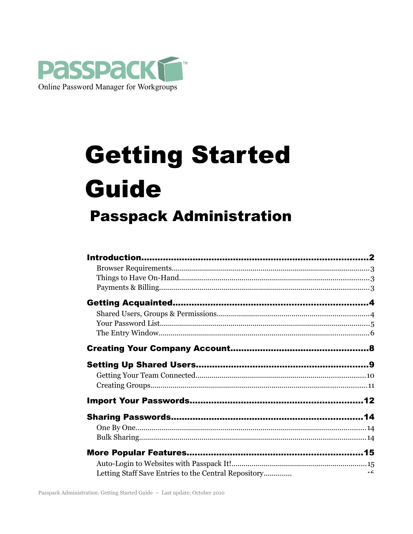

# **Getting Started Guide Passpack Administration**

| Letting Staff Save Entries to the Central Repository | $-6$ |
|------------------------------------------------------|------|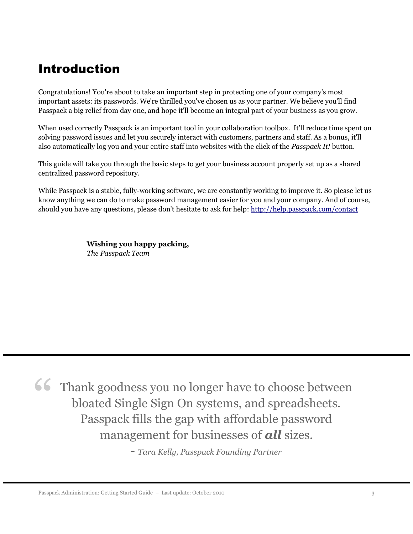# Introduction

Congratulations! You're about to take an important step in protecting one of your company's most important assets: its passwords. We're thrilled you've chosen us as your partner. We believe you'll find Passpack a big relief from day one, and hope it'll become an integral part of your business as you grow.

When used correctly Passpack is an important tool in your collaboration toolbox. It'll reduce time spent on solving password issues and let you securely interact with customers, partners and staff. As a bonus, it'll also automatically log you and your entire staff into websites with the click of the *Passpack It!* button.

This guide will take you through the basic steps to get your business account properly set up as a shared centralized password repository.

While Passpack is a stable, fully-working software, we are constantly working to improve it. So please let us know anything we can do to make password management easier for you and your company. And of course, should you have any questions, please don't hesitate to ask for help:<http://help.passpack.com/contact>

> **Wishing you happy packing,** *The Passpack Team*

Thank goodness you no longer have to choose between bloated Single Sign On systems, and spreadsheets. Passpack fills the gap with affordable password management for businesses of *all* sizes. "

*- Tara Kelly, Passpack Founding Partner*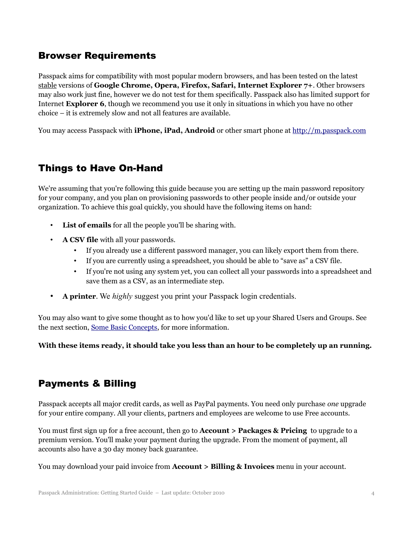### Browser Requirements

Passpack aims for compatibility with most popular modern browsers, and has been tested on the latest stable versions of **Google Chrome, Opera, Firefox, Safari, Internet Explorer 7+**. Other browsers may also work just fine, however we do not test for them specifically. Passpack also has limited support for Internet **Explorer 6**, though we recommend you use it only in situations in which you have no other choice – it is extremely slow and not all features are available.

You may access Passpack with **iPhone, iPad, Android** or other smart phone at [http://m.passpack.com](http://m.passpack.com/)

# Things to Have On-Hand

We're assuming that you're following this guide because you are setting up the main password repository for your company, and you plan on provisioning passwords to other people inside and/or outside your organization. To achieve this goal quickly, you should have the following items on hand:

- **List of emails** for all the people you'll be sharing with.
- **A CSV file** with all your passwords.
	- If you already use a different password manager, you can likely export them from there.
	- If you are currently using a spreadsheet, you should be able to "save as" a CSV file.
	- If you're not using any system yet, you can collect all your passwords into a spreadsheet and save them as a CSV, as an intermediate step.
- **A printer**. We *highly* suggest you print your Passpack login credentials.

You may also want to give some thought as to how you'd like to set up your Shared Users and Groups. See the next section, [Some Basic Concepts,](#page-3-0) for more information.

**With these items ready, it should take you less than an hour to be completely up an running.**

### <span id="page-3-0"></span>Payments & Billing

Passpack accepts all major credit cards, as well as PayPal payments. You need only purchase *one* upgrade for your entire company. All your clients, partners and employees are welcome to use Free accounts.

You must first sign up for a free account, then go to **Account > Packages & Pricing** to upgrade to a premium version. You'll make your payment during the upgrade. From the moment of payment, all accounts also have a 30 day money back guarantee.

You may download your paid invoice from **Account > Billing & Invoices** menu in your account.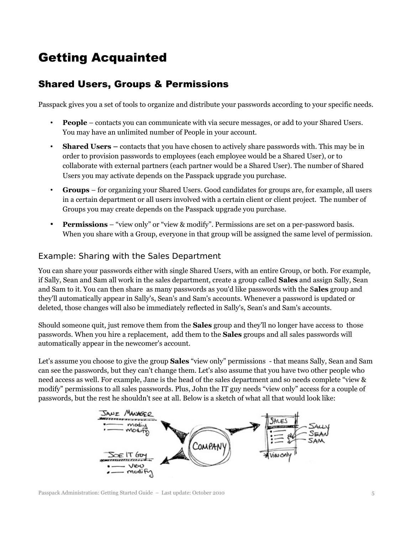# Getting Acquainted

# Shared Users, Groups & Permissions

Passpack gives you a set of tools to organize and distribute your passwords according to your specific needs.

- **People** contacts you can communicate with via secure messages, or add to your Shared Users. You may have an unlimited number of People in your account.
- **Shared Users** contacts that you have chosen to actively share passwords with. This may be in order to provision passwords to employees (each employee would be a Shared User), or to collaborate with external partners (each partner would be a Shared User). The number of Shared Users you may activate depends on the Passpack upgrade you purchase.
- **Groups** for organizing your Shared Users. Good candidates for groups are, for example, all users in a certain department or all users involved with a certain client or client project. The number of Groups you may create depends on the Passpack upgrade you purchase.
- **Permissions** "view only" or "view & modify". Permissions are set on a per-password basis. When you share with a Group, everyone in that group will be assigned the same level of permission.

#### Example: Sharing with the Sales Department

You can share your passwords either with single Shared Users, with an entire Group, or both. For example, if Sally, Sean and Sam all work in the sales department, create a group called **Sales** and assign Sally, Sean and Sam to it. You can then share as many passwords as you'd like passwords with the S**ales** group and they'll automatically appear in Sally's, Sean's and Sam's accounts. Whenever a password is updated or deleted, those changes will also be immediately reflected in Sally's, Sean's and Sam's accounts.

Should someone quit, just remove them from the **Sales** group and they'll no longer have access to those passwords. When you hire a replacement, add them to the **Sales** groups and all sales passwords will automatically appear in the newcomer's account.

Let's assume you choose to give the group **Sales** "view only" permissions - that means Sally, Sean and Sam can see the passwords, but they can't change them. Let's also assume that you have two other people who need access as well. For example, Jane is the head of the sales department and so needs complete "view & modify" permissions to all sales passwords. Plus, John the IT guy needs "view only" access for a couple of passwords, but the rest he shouldn't see at all. Below is a sketch of what all that would look like:



Passpack Administration: Getting Started Guide – Last update: October 2010 5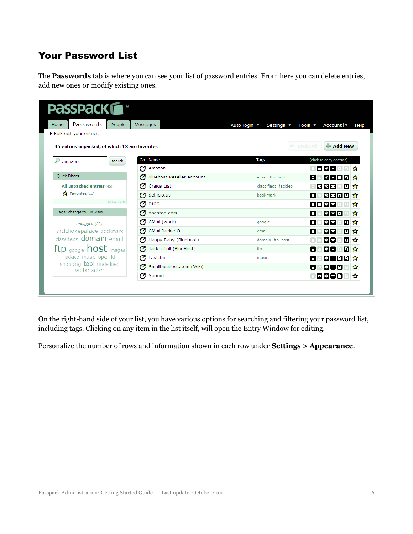# Your Password List

The **Passwords** tab is where you can see your list of password entries. From here you can delete entries, add new ones or modify existing ones.

| <b>PASSPACK</b><br>Passwords<br>People<br>Home | Messages                        | Auto-login   ▼<br>Settings $ \mathbf{v} $ | Tools $ \blacktriangledown$<br>Account <del>v</del><br>Help |
|------------------------------------------------|---------------------------------|-------------------------------------------|-------------------------------------------------------------|
| Bulk edit your entries                         |                                 |                                           |                                                             |
| 45 entries unpacked, of which 13 are favorites |                                 |                                           | $-$ Add New<br><b>PT</b> Undo All                           |
| amazon<br>search                               | Go Name                         | Tags                                      | (click to copy content)                                     |
|                                                | Μ<br>Amazon                     |                                           | ⊠ ≭ ⊠<br>✿                                                  |
| <b>Quick Filters</b>                           | Bluehost Reseller account<br>z. | email ftp host                            | 出西日日 ☆<br>A                                                 |
| All unpacked entries (45)                      | Craigs List<br>α                | classifieds jackieo                       | ◙发⊠<br>圓☆                                                   |
| $\sum$ Favorites (12)                          | del.icio.us<br>σ                | bookmark                                  | 8000 ☆<br>A                                                 |
| show more                                      | Ø<br><b>DIGG</b>                |                                           | 日國來國<br>o<br>ŵ                                              |
| Tags: change to List view                      | docstoc.com<br>σ                |                                           | 米函目<br>8<br>✿                                               |
| untagged (22)                                  | GMail (work)<br>α               | google                                    | ▣☆<br>* ∞<br>я                                              |
| artichokepalace bookmark                       | GMail Jackie O<br>Ø             | email                                     | 回☆<br>А<br>累固                                               |
| classifieds <b>domain</b> email                | Happy Baby (Bluehost)<br>Ø      | domain ftp host                           | 回☆<br>₩⊠                                                    |
| ftp $_{\text{google}}$ host $_{\text{images}}$ | Jack's Grill (BlueHost)<br>Ø    | ftp                                       | 回☆<br>≭⊠<br>А                                               |
| jackieo music openid                           | Ø<br>Last.fm                    | music                                     | $* \n\in \mathbb{R}$<br>8<br>✿                              |
| shopping tool undefined<br>webmaster           | Smallbusiness.com (Wiki)<br>Μ   |                                           | A<br>$*$ $\circ$ $\circ$<br>岙                               |
|                                                | Ø<br>Yahoo!                     |                                           | 0800<br>ਮੈ                                                  |

On the right-hand side of your list, you have various options for searching and filtering your password list, including tags. Clicking on any item in the list itself, will open the Entry Window for editing.

Personalize the number of rows and information shown in each row under **Settings > Appearance**.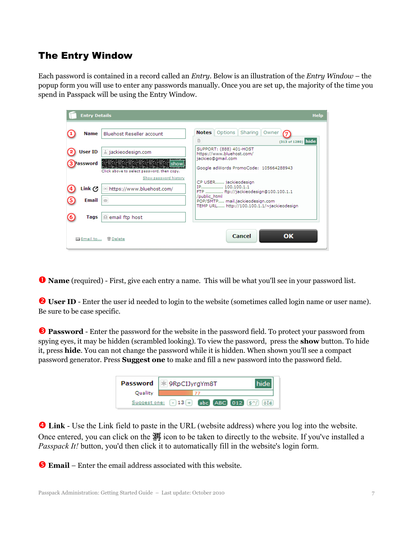### The Entry Window

Each password is contained in a record called an *Entry*. Below is an illustration of the *Entry Window* – the popup form you will use to enter any passwords manually. Once you are set up, the majority of the time you spend in Passpack will be using the Entry Window.

| <b>Entry Details</b>                                                                                                                                                                                                             | <b>Help</b>                                                                                                                                                                      |
|----------------------------------------------------------------------------------------------------------------------------------------------------------------------------------------------------------------------------------|----------------------------------------------------------------------------------------------------------------------------------------------------------------------------------|
| <b>Bluehost Reseller account</b><br><b>Name</b>                                                                                                                                                                                  | <b>Notes</b> Options Sharing<br>Owner<br>B<br>(313 of 1280) hide                                                                                                                 |
| User ID<br>a jackieodesign.com<br><b>이 사고 무대 전에 있는 무대 전에 사고 무대 전에 도와 두 번 수 있는 것이 있다.</b><br>이 사고 그래서 이 사고 그래서 사고 그래서 이 사고 그래서 이 사고 그래서 이 사고 그래서 이 사고 있다.<br>-<br>Password<br>Ishow<br>Click above to select password, then copy. | SUPPORT: (888) 401-HOST<br>https://www.bluehost.com/<br>jackieo@gmail.com<br>Google adWords PromoCode: 105664288943                                                              |
| Show password history<br>Link (ク<br>® https://www.bluehost.com/<br>Email<br><b>RSI</b>                                                                                                                                           | CP USER jackieodesign<br>IP 100.100.1.1<br>FTP  ftp://jackieodesign@100.100.1.1<br>/public_html<br>POP/SMTP mail.jackieodesign.com<br>TEMP URL http://100.100.1.1/~jackieodesign |
| Tags<br>e email ftp host                                                                                                                                                                                                         |                                                                                                                                                                                  |
| ⊠ Email to<br><b>命</b> Delete                                                                                                                                                                                                    | Cancel<br>OK                                                                                                                                                                     |

➊ **Name** (required) - First, give each entry a name. This will be what you'll see in your password list.

**O** User ID - Enter the user id needed to login to the website (sometimes called login name or user name). Be sure to be case specific.

**S** Password - Enter the password for the website in the password field. To protect your password from spying eyes, it may be hidden (scrambled looking). To view the password, press the **show** button. To hide it, press **hide**. You can not change the password while it is hidden. When shown you'll see a compact password generator. Press **Suggest one** to make and fill a new password into the password field.

|         | Password   * 9RpCIJyrgYm8T                                                                               |
|---------|----------------------------------------------------------------------------------------------------------|
| Quality |                                                                                                          |
|         | Suggest one: $\begin{bmatrix} -13 & + \end{bmatrix}$ abc ABC 012 $\left(5^{2}/\right)$ $\left(67\right)$ |

➍ **Link** - Use the Link field to paste in the URL (website address) where you log into the website. Once entered, you can click on the 洱 icon to be taken to directly to the website. If you've installed a *Passpack It!* button, you'd then click it to automatically fill in the website's login form.

➎ **Email** – Enter the email address associated with this website.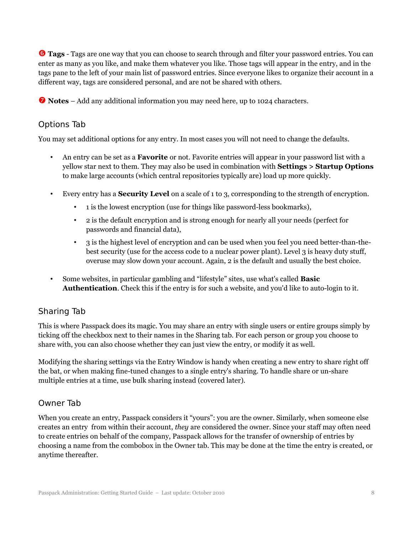**Tags** - Tags are one way that you can choose to search through and filter your password entries. You can enter as many as you like, and make them whatever you like. Those tags will appear in the entry, and in the tags pane to the left of your main list of password entries. Since everyone likes to organize their account in a different way, tags are considered personal, and are not be shared with others.

*D* Notes – Add any additional information you may need here, up to 1024 characters.

#### Options Tab

You may set additional options for any entry. In most cases you will not need to change the defaults.

- An entry can be set as a **Favorite** or not. Favorite entries will appear in your password list with a yellow star next to them. They may also be used in combination with **Settings > Startup Options** to make large accounts (which central repositories typically are) load up more quickly.
- Every entry has a **Security Level** on a scale of 1 to 3, corresponding to the strength of encryption.
	- 1 is the lowest encryption (use for things like password-less bookmarks),
	- 2 is the default encryption and is strong enough for nearly all your needs (perfect for passwords and financial data),
	- 3 is the highest level of encryption and can be used when you feel you need better-than-thebest security (use for the access code to a nuclear power plant). Level 3 is heavy duty stuff, overuse may slow down your account. Again, 2 is the default and usually the best choice.
- Some websites, in particular gambling and "lifestyle" sites, use what's called **Basic Authentication**. Check this if the entry is for such a website, and you'd like to auto-login to it.

### Sharing Tab

This is where Passpack does its magic. You may share an entry with single users or entire groups simply by ticking off the checkbox next to their names in the Sharing tab. For each person or group you choose to share with, you can also choose whether they can just view the entry, or modify it as well.

Modifying the sharing settings via the Entry Window is handy when creating a new entry to share right off the bat, or when making fine-tuned changes to a single entry's sharing. To handle share or un-share multiple entries at a time, use bulk sharing instead (covered later).

### Owner Tab

When you create an entry, Passpack considers it "yours": you are the owner. Similarly, when someone else creates an entry from within their account, *they* are considered the owner. Since your staff may often need to create entries on behalf of the company, Passpack allows for the transfer of ownership of entries by choosing a name from the combobox in the Owner tab. This may be done at the time the entry is created, or anytime thereafter.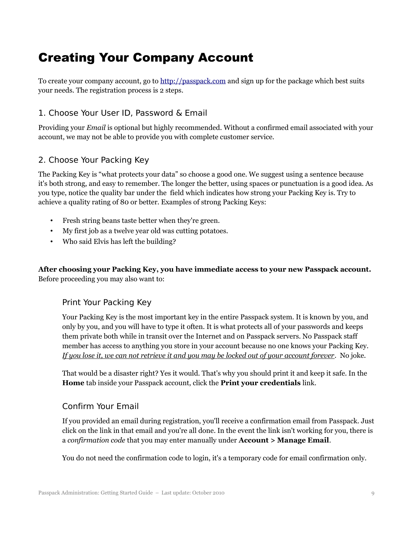# Creating Your Company Account

To create your company account, go to [http://passpack.com](http://www.passpack.com/) and sign up for the package which best suits your needs. The registration process is 2 steps.

#### 1. Choose Your User ID, Password & Email

Providing your *Email* is optional but highly recommended. Without a confirmed email associated with your account, we may not be able to provide you with complete customer service.

#### 2. Choose Your Packing Key

The Packing Key is "what protects your data" so choose a good one. We suggest using a sentence because it's both strong, and easy to remember. The longer the better, using spaces or punctuation is a good idea. As you type, notice the quality bar under the field which indicates how strong your Packing Key is. Try to achieve a quality rating of 80 or better. Examples of strong Packing Keys:

- Fresh string beans taste better when they're green.
- My first job as a twelve year old was cutting potatoes.
- Who said Elvis has left the building?

**After choosing your Packing Key, you have immediate access to your new Passpack account.** Before proceeding you may also want to:

#### Print Your Packing Key

Your Packing Key is the most important key in the entire Passpack system. It is known by you, and only by you, and you will have to type it often. It is what protects all of your passwords and keeps them private both while in transit over the Internet and on Passpack servers. No Passpack staff member has access to anything you store in your account because no one knows your Packing Key. *If you lose it, we can not retrieve it and you may be locked out of your account forever.* No joke.

That would be a disaster right? Yes it would. That's why you should print it and keep it safe. In the **Home** tab inside your Passpack account, click the **Print your credentials** link.

#### Confirm Your Email

If you provided an email during registration, you'll receive a confirmation email from Passpack. Just click on the link in that email and you're all done. In the event the link isn't working for you, there is a *confirmation code* that you may enter manually under **Account > Manage Email**.

You do not need the confirmation code to login, it's a temporary code for email confirmation only.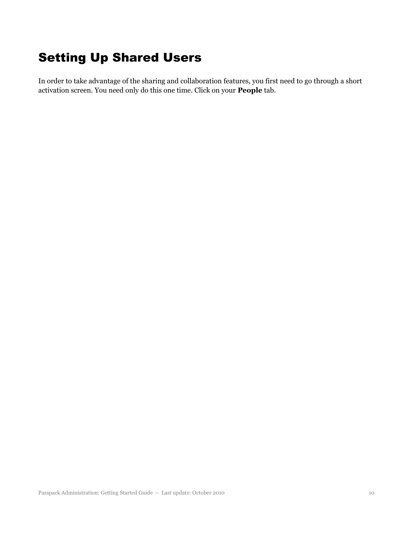# Setting Up Shared Users

In order to take advantage of the sharing and collaboration features, you first need to go through a short activation screen. You need only do this one time. Click on your **People** tab.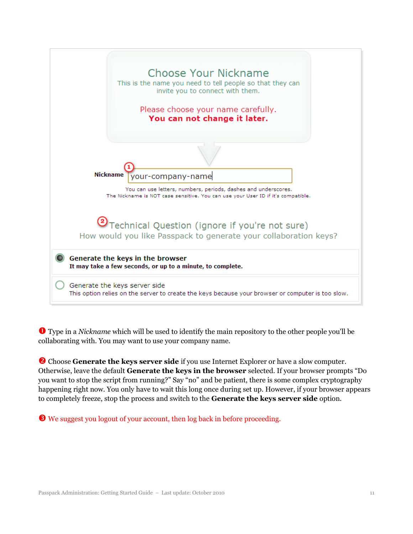

➊ Type in a *Nickname* which will be used to identify the main repository to the other people you'll be collaborating with. You may want to use your company name.

➋ Choose **Generate the keys server side** if you use Internet Explorer or have a slow computer. Otherwise, leave the default **Generate the keys in the browser** selected. If your browser prompts "Do you want to stop the script from running?" Say "no" and be patient, there is some complex cryptography happening right now. You only have to wait this long once during set up. However, if your browser appears to completely freeze, stop the process and switch to the **Generate the keys server side** option.

➌ We suggest you logout of your account, then log back in before proceeding.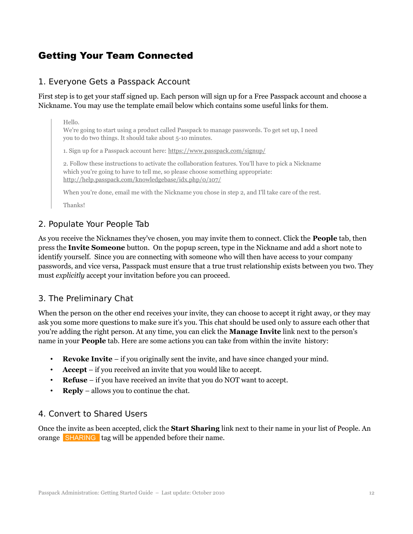# Getting Your Team Connected

#### 1. Everyone Gets a Passpack Account

First step is to get your staff signed up. Each person will sign up for a Free Passpack account and choose a Nickname. You may use the template email below which contains some useful links for them.

#### Hello.

We're going to start using a product called Passpack to manage passwords. To get set up, I need you to do two things. It should take about 5-10 minutes.

1. Sign up for a Passpack account here: https://www.passpack.com/signup/

2. Follow these instructions to activate the collaboration features. You'll have to pick a Nickname which you're going to have to tell me, so please choose something appropriate: http://help.passpack.com/knowledgebase/idx.php/0/107/

When you're done, email me with the Nickname you chose in step 2, and I'll take care of the rest.

Thanks!

#### 2. Populate Your People Tab

As you receive the Nicknames they've chosen, you may invite them to connect. Click the **People** tab, then press the **Invite Someone** button. On the popup screen, type in the Nickname and add a short note to identify yourself. Since you are connecting with someone who will then have access to your company passwords, and vice versa, Passpack must ensure that a true trust relationship exists between you two. They must *explicitly* accept your invitation before you can proceed.

#### 3. The Preliminary Chat

When the person on the other end receives your invite, they can choose to accept it right away, or they may ask you some more questions to make sure it's you. This chat should be used only to assure each other that you're adding the right person. At any time, you can click the **Manage Invite** link next to the person's name in your **People** tab. Here are some actions you can take from within the invite history:

- **Revoke Invite** if you originally sent the invite, and have since changed your mind.
- **Accept** if you received an invite that you would like to accept.
- **Refuse** if you have received an invite that you do NOT want to accept.
- **Reply** allows you to continue the chat.

#### 4. Convert to Shared Users

Once the invite as been accepted, click the **Start Sharing** link next to their name in your list of People. An orange SHARING tag will be appended before their name.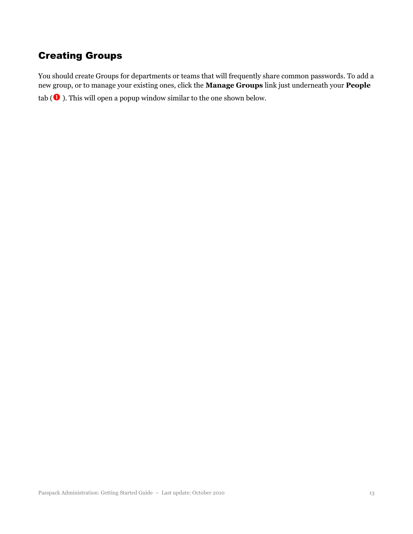# Creating Groups

You should create Groups for departments or teams that will frequently share common passwords. To add a new group, or to manage your existing ones, click the **Manage Groups** link just underneath your **People** tab  $(\mathbf 0)$ . This will open a popup window similar to the one shown below.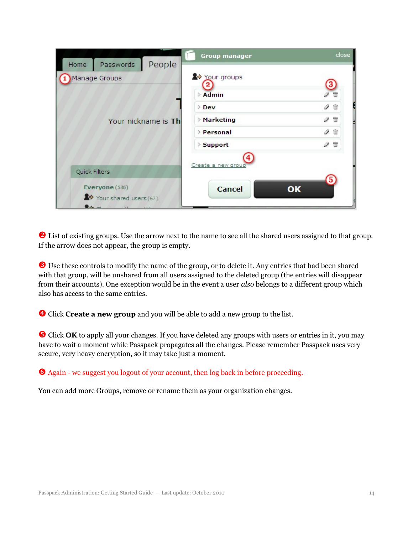| People<br>Passwords<br>Home                            | <b>Group manager</b> | close                           |
|--------------------------------------------------------|----------------------|---------------------------------|
| Manage Groups                                          | Your groups          |                                 |
|                                                        | Admin                | ₩                               |
|                                                        | $\triangleright$ Dev | $\mathscr{P}$ $\bar{w}$         |
| Your nickname is Th                                    | Marketing            | $\mathscr{P}$ $\mathbb{\hat{}}$ |
|                                                        | <b>Personal</b>      | $\mathscr{P}$ $\bar{w}$         |
|                                                        | <b>Support</b>       | P<br>命                          |
| Quick Filters                                          | Create a new group   |                                 |
| Everyone (536)<br>X→ Your shared users (67)<br>$A = 1$ | <b>Cancel</b>        | OK                              |

**◯** List of existing groups. Use the arrow next to the name to see all the shared users assigned to that group. If the arrow does not appear, the group is empty.

➌ Use these controls to modify the name of the group, or to delete it. Any entries that had been shared with that group, will be unshared from all users assigned to the deleted group (the entries will disappear from their accounts). One exception would be in the event a user *also* belongs to a different group which also has access to the same entries.

➍ Click **Create a new group** and you will be able to add a new group to the list.

**S** Click **OK** to apply all your changes. If you have deleted any groups with users or entries in it, you may have to wait a moment while Passpack propagates all the changes. Please remember Passpack uses very secure, very heavy encryption, so it may take just a moment.

Again - we suggest you logout of your account, then log back in before proceeding.

You can add more Groups, remove or rename them as your organization changes.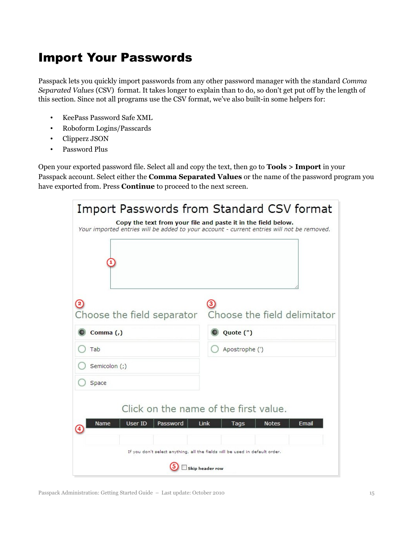# Import Your Passwords

Passpack lets you quickly import passwords from any other password manager with the standard *Comma Separated Values* (CSV) format. It takes longer to explain than to do, so don't get put off by the length of this section. Since not all programs use the CSV format, we've also built-in some helpers for:

- KeePass Password Safe XML
- Roboform Logins/Passcards
- Clipperz JSON
- Password Plus

Open your exported password file. Select all and copy the text, then go to **Tools > Import** in your Passpack account. Select either the **Comma Separated Values** or the name of the password program you have exported from. Press **Continue** to proceed to the next screen.

| Import Passwords from Standard CSV format<br>Copy the text from your file and paste it in the field below.<br>Your imported entries will be added to your account - current entries will not be removed. |
|----------------------------------------------------------------------------------------------------------------------------------------------------------------------------------------------------------|
| Choose the field separator  Choose the field delimitator                                                                                                                                                 |
| Quote (")                                                                                                                                                                                                |
| Apostrophe (')                                                                                                                                                                                           |
|                                                                                                                                                                                                          |
|                                                                                                                                                                                                          |
| Click on the name of the first value.<br>Link<br>Email<br><b>Notes</b><br>Tags<br>If you don't select anything, all the fields will be used in default order.<br>Skip header row                         |
|                                                                                                                                                                                                          |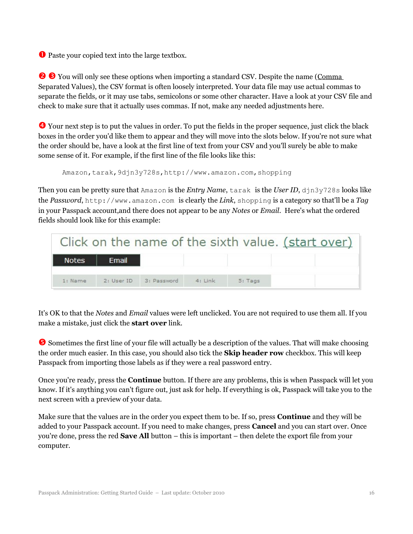➊ Paste your copied text into the large textbox.

**☉ S** You will only see these options when importing a standard CSV. Despite the name (Comma Separated Values), the CSV format is often loosely interpreted. Your data file may use actual commas to separate the fields, or it may use tabs, semicolons or some other character. Have a look at your CSV file and check to make sure that it actually uses commas. If not, make any needed adjustments here.

➍ Your next step is to put the values in order. To put the fields in the proper sequence, just click the black boxes in the order you'd like them to appear and they will move into the slots below. If you're not sure what the order should be, have a look at the first line of text from your CSV and you'll surely be able to make some sense of it. For example, if the first line of the file looks like this:

Amazon,tarak, 9djn3y728s, http://www.amazon.com, shopping

Then you can be pretty sure that Amazon is the *Entry Name*, tarak is the *User ID*, djn3y728s looks like the *Password*, http://www.amazon.com is clearly the *Link*, shopping is a category so that'll be a *Tag* in your Passpack account,and there does not appear to be any *Notes* or *Email*. Here's what the ordered fields should look like for this example:

|              |            |             |           |                  | Click on the name of the sixth value. (start over) |
|--------------|------------|-------------|-----------|------------------|----------------------------------------------------|
| <b>Notes</b> | Email      |             |           |                  |                                                    |
| 1: Name      | 2: User ID | 3: Password | $4:$ Link | $5: \text{Tags}$ |                                                    |

It's OK to that the *Notes* and *Email* values were left unclicked. You are not required to use them all. If you make a mistake, just click the **start over** link.

**S** Sometimes the first line of your file will actually be a description of the values. That will make choosing the order much easier. In this case, you should also tick the **Skip header row** checkbox. This will keep Passpack from importing those labels as if they were a real password entry.

Once you're ready, press the **Continue** button. If there are any problems, this is when Passpack will let you know. If it's anything you can't figure out, just ask for help. If everything is ok, Passpack will take you to the next screen with a preview of your data.

Make sure that the values are in the order you expect them to be. If so, press **Continue** and they will be added to your Passpack account. If you need to make changes, press **Cancel** and you can start over. Once you're done, press the red **Save All** button – this is important – then delete the export file from your computer.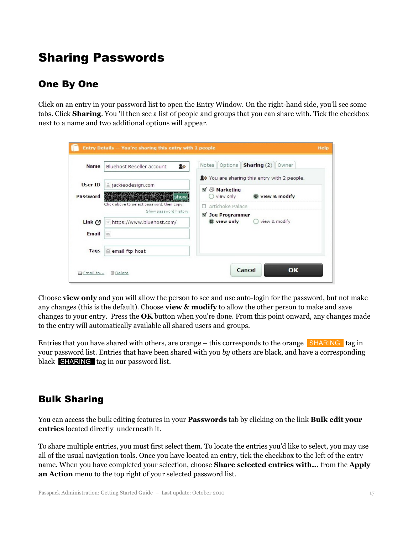# Sharing Passwords

# One By One

Click on an entry in your password list to open the Entry Window. On the right-hand side, you'll see some tabs. Click **Sharing**. You 'll then see a list of people and groups that you can share with. Tick the checkbox next to a name and two additional options will appear.

| <b>Name</b>       | 20<br>Bluehost Reseller account                                     | <b>Sharing</b> $(2)$ Owner<br>Options<br>Notes           |
|-------------------|---------------------------------------------------------------------|----------------------------------------------------------|
| User ID           |                                                                     | 2→ You are sharing this entry with 2 people.             |
|                   | a jackieodesign.com                                                 | Marketing                                                |
| Password          | · 一部の全部の全部の全部の全部の全国 show                                            | view only<br>view & modify                               |
|                   | Click above to select password, then copy.<br>Show password history | Artichoke Palace                                         |
|                   |                                                                     | v<br><b>Joe Programmer</b><br>view only<br>view & modify |
| Link $\mathcal O$ | ® https://www.bluehost.com/                                         |                                                          |
| Email             | $\circ$                                                             |                                                          |
| Tags              | @ email ftp host                                                    |                                                          |

Choose **view only** and you will allow the person to see and use auto-login for the password, but not make any changes (this is the default). Choose **view & modify** to allow the other person to make and save changes to your entry. Press the **OK** button when you're done. From this point onward, any changes made to the entry will automatically available all shared users and groups.

Entries that you have shared with others, are orange – this corresponds to the orange  $\blacksquare$ SHARING tag in your password list. Entries that have been shared with you *by* others are black, and have a corresponding black SHARING tag in our password list.

# Bulk Sharing

You can access the bulk editing features in your **Passwords** tab by clicking on the link **Bulk edit your entries** located directly underneath it.

To share multiple entries, you must first select them. To locate the entries you'd like to select, you may use all of the usual navigation tools. Once you have located an entry, tick the checkbox to the left of the entry name. When you have completed your selection, choose **Share selected entries with...** from the **Apply an Action** menu to the top right of your selected password list.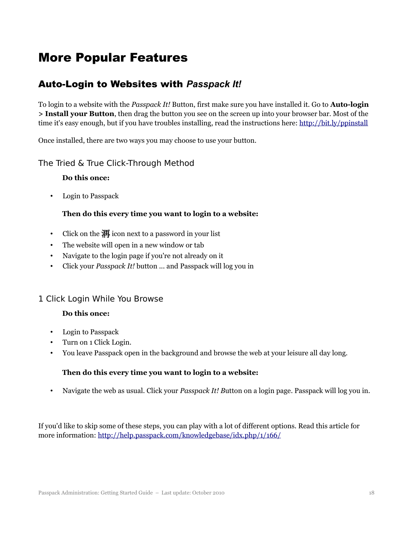# More Popular Features

### Auto-Login to Websites with *Passpack It!*

To login to a website with the *Passpack It!* Button, first make sure you have installed it. Go to **Auto-login > Install your Button**, then drag the button you see on the screen up into your browser bar. Most of the time it's easy enough, but if you have troubles installing, read the instructions here:<http://bit.ly/ppinstall>

Once installed, there are two ways you may choose to use your button.

#### The Tried & True Click-Through Method

#### **Do this once:**

• Login to Passpack

#### **Then do this every time you want to login to a website:**

- Click on the  $\overline{A}$  icon next to a password in your list
- The website will open in a new window or tab
- Navigate to the login page if you're not already on it
- Click your *Passpack It!* button ... and Passpack will log you in

#### 1 Click Login While You Browse

#### **Do this once:**

- Login to Passpack
- Turn on 1 Click Login.
- You leave Passpack open in the background and browse the web at your leisure all day long.

#### **Then do this every time you want to login to a website:**

• Navigate the web as usual. Click your *Passpack It! B*utton on a login page. Passpack will log you in.

If you'd like to skip some of these steps, you can play with a lot of different options. Read this article for more information:<http://help.passpack.com/knowledgebase/idx.php/1/166/>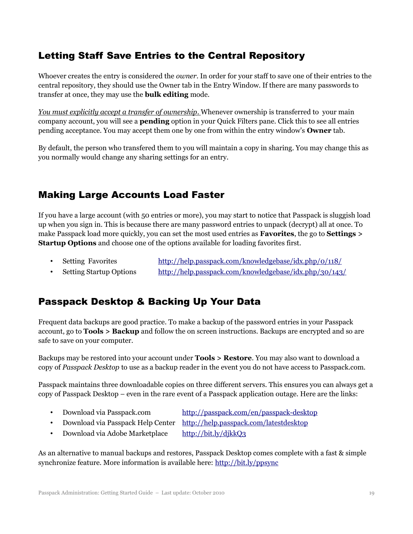# Letting Staff Save Entries to the Central Repository

Whoever creates the entry is considered the *owner*. In order for your staff to save one of their entries to the central repository, they should use the Owner tab in the Entry Window. If there are many passwords to transfer at once, they may use the **bulk editing** mode.

*You must explicitly accept a transfer of ownership*. Whenever ownership is transferred to your main company account, you will see a **pending** option in your Quick Filters pane. Click this to see all entries pending acceptance. You may accept them one by one from within the entry window's **Owner** tab.

By default, the person who transfered them to you will maintain a copy in sharing. You may change this as you normally would change any sharing settings for an entry.

### Making Large Accounts Load Faster

If you have a large account (with 50 entries or more), you may start to notice that Passpack is sluggish load up when you sign in. This is because there are many password entries to unpack (decrypt) all at once. To make Passpack load more quickly, you can set the most used entries as **Favorites**, the go to **Settings > Startup Options** and choose one of the options available for loading favorites first.

- Setting Favorites <http://help.passpack.com/knowledgebase/idx.php/0/118/>
- Setting Startup Options <http://help.passpack.com/knowledgebase/idx.php/30/143/>

# Passpack Desktop & Backing Up Your Data

Frequent data backups are good practice. To make a backup of the password entries in your Passpack account, go to **Tools > Backup** and follow the on screen instructions. Backups are encrypted and so are safe to save on your computer.

Backups may be restored into your account under **Tools > Restore**. You may also want to download a copy of *Passpack Desktop* to use as a backup reader in the event you do not have access to Passpack.com.

Passpack maintains three downloadable copies on three different servers. This ensures you can always get a copy of Passpack Desktop – even in the rare event of a Passpack application outage. Here are the links:

- Download via Passpack.com <http://passpack.com/en/passpack-desktop>
- Download via Passpack Help Center http://help.passpack.com/latestdesktop
- Download via Adobe Marketplace <http://bit.ly/djkkQ3>

As an alternative to manual backups and restores, Passpack Desktop comes complete with a fast & simple synchronize feature. More information is available here:<http://bit.ly/ppsync>